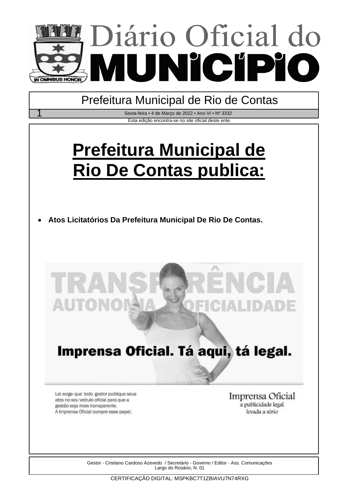

Prefeitura Municipal de Rio de Contas

Esta edição encontra-se no site oficial deste ente. Sexta-feira • 4 de Março de 2022 • Ano VI • Nº 3332

# **Prefeitura Municipal de Rio De Contas publica:**

**Atos Licitatórios Da Prefeitura Municipal De Rio De Contas.**



# Imprensa Oficial. Tá aqui, tá legal.

Lei exige que todo gestor publique seus atos no seu veículo oficial para que a gestão seja mais transparente. A Imprensa Oficial cumpre esse papel.

Imprensa Oficial a publicidade legal levada a sério

Gestor - Cristiano Cardoso Azevedo / Secretário - Governo / Editor - Ass. Comunicações Largo do Rosário, N. 01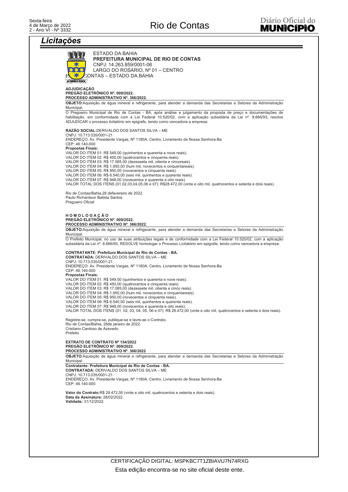# Licitacões

| ESTADO DA BAHIA<br>PREFEITURA MUNICIPAL DE RIO DE CONTAS<br>CNPJ: 14.263.859/0001-06<br>LARGO DO ROSARIO, Nº 01 - CENTRO<br>©ONTAS – ESTADO DA BAHIA<br><b>N OMNIBUS HONOR</b><br><b>ADJUDICAÇÃO</b><br>PREGÃO ELETRÔNICO Nº. 009/2022.<br>PROCESSO ADMINISTRATIVO Nº. 366/2022.<br>OBJETO: Aquisição de água mineral e refrigerante, para atender a demanda das Secretarias e Setores da Administração<br>O Pregoeiro Municipal de Rio de Contas - BA, após análise e julgamento da proposta de preço e documentações de<br>habilitação, em conformidade com a Lei Federal 10.520/02, com a aplicação subsidiária da Lei nº. 8.666/93, resolve<br>ADJUDICAR o processo licitatório em epigrafe, tendo como vencedora a empresa:<br>RAZÃO SOCIAL: DERIVALDO DOS SANTOS SILVA - ME<br>CNPJ: 10.713.035/0001-21<br>ENDEREÇO: Av. Presidente Vargas, Nº 1180A, Centro, Livramento de Nossa Senhora-Ba<br>CEP: 46.140-000<br><b>Propostas Finais:</b><br>VALOR DO ITEM 01: R\$ 549,00 (quinhentos e quarenta e nove reais).<br>VALOR DO ITEM 02: R\$ 450,00 (quatrocentos e cinquenta reais).<br>VALOR DO ITEM 03: R\$ 17.085,00 (dezessete mil, oitenta e cincoreais).<br>VALOR DO ITEM 04: R\$ 1.950,00 (hum mil, novecentos e cinquentareais).<br>VALOR DO ITEM 05: R\$ 950,00 (novecentos e cinquenta reais).<br>VALOR DO ITEM 06: R\$ 6.540,00 (seis mil, quinhentos e quarenta reais).<br>VALOR DO ITEM 07: R\$ 948,00 (novecentos e quarenta e oito reais).<br>VALOR TOTAL DOS ITENS (01,02,03,04,05,06 e 07): R\$28.472,00 (vinte e oito mil, quatrocentos e setenta e dois reais).<br>Rio de Contas/Bahia, 28 defevereiro de 2022.<br>Paulo Richardson Batista Santos<br>Pregoeiro Oficial<br>HOMOLOGAÇÃO<br>PREGÃO ELETRÔNICO Nº. 009/2022.<br>PROCESSO ADMINISTRATIVO Nº. 366/2022.<br>OBJETO: Aquisição de água mineral e refrigerante, para atender a demanda das Secretarias e Setores da Administração<br>Municipal.<br>O Prefeito Municipal, no uso de suas atribuições legais e de conformidade com a Lei Federal 10.520/02, com a aplicação<br>subsidiária da Lei nº. 8.666/93, RESOLVE homologar o Processo Licitatório em epigrafe, tendo como vencedora a empresa:<br><b>CONTRATANTE: Prefeitura Municipal de Rio de Contas - BA.</b><br><b>CONTRATADA: DERIVALDO DOS SANTOS SILVA - ME</b><br>CNPJ: 10.713.035/0001-21<br>ENDEREÇO: Av. Presidente Vargas, Nº 1180A, Centro, Livramento de Nossa Senhora-Ba<br>CEP: 46.140-000<br><b>Propostas Finais:</b><br>VALOR DO ITEM 01: R\$ 549,00 (quinhentos e quarenta e nove reais).<br>VALOR DO ITEM 02: R\$ 450,00 (quatrocentos e cinquenta reais).<br>VALOR DO ITEM 03: R\$ 17.085,00 (dezessete mil, oitenta e cinco reais).<br>VALOR DO ITEM 04: R\$ 1.950,00 (hum mil, novecentos e cinquentareais).<br>VALOR DO ITEM 05: R\$ 950,00 (novecentos e cinquenta reais).<br>VALOR DO ITEM 06: R\$ 6.540,00 (seis mil, quinhentos e quarenta reais).<br>VALOR DO ITEM 07: R\$ 948,00 (novecentos e quarenta e oito reais).<br>VALOR TOTAL DOS ITENS (01, 02, 03, 04, 05, 06 e 07): R\$ 28.472,00 (vinte e oito mil, quatrocentos e setenta e dois reais).<br>Registre-se, cumpra-se, publique-se e lavre-se o Contrato.<br>Rio de Contas/Bahia, 28de janeiro de 2022.<br>Cristiano Cardoso de Azevedo<br>EXTRATO DE CONTRATO Nº 154/2022<br>PREGÃO ELETRÔNICO Nº. 009/2022.<br>PROCESSO ADMINISTRATIVO Nº. 366/2022<br>OBJETO: Aquisição de água mineral e refrigerante, para atender a demanda das Secretarias e Setores da Administração<br>Municipal.<br>Contratante: Prefeitura Municipal de Rio de Contas - BA.<br><b>CONTRATADA: DERIVALDO DOS SANTOS SILVA - ME</b><br>CNPJ: 10.713.035/0001-21<br>ENDEREÇO: Av. Presidente Vargas, Nº 1180A, Centro, Livramento de Nossa Senhora-Ba<br>CEP: 46.140-000<br>Valor do Contrato: R\$ 28.472,00 (vinte e oito mil, quatrocentos e setenta e dois reais).<br>Data da Assinatura: 28/02/2022.<br>Validade: 31/12/2022. |            |  |
|-----------------------------------------------------------------------------------------------------------------------------------------------------------------------------------------------------------------------------------------------------------------------------------------------------------------------------------------------------------------------------------------------------------------------------------------------------------------------------------------------------------------------------------------------------------------------------------------------------------------------------------------------------------------------------------------------------------------------------------------------------------------------------------------------------------------------------------------------------------------------------------------------------------------------------------------------------------------------------------------------------------------------------------------------------------------------------------------------------------------------------------------------------------------------------------------------------------------------------------------------------------------------------------------------------------------------------------------------------------------------------------------------------------------------------------------------------------------------------------------------------------------------------------------------------------------------------------------------------------------------------------------------------------------------------------------------------------------------------------------------------------------------------------------------------------------------------------------------------------------------------------------------------------------------------------------------------------------------------------------------------------------------------------------------------------------------------------------------------------------------------------------------------------------------------------------------------------------------------------------------------------------------------------------------------------------------------------------------------------------------------------------------------------------------------------------------------------------------------------------------------------------------------------------------------------------------------------------------------------------------------------------------------------------------------------------------------------------------------------------------------------------------------------------------------------------------------------------------------------------------------------------------------------------------------------------------------------------------------------------------------------------------------------------------------------------------------------------------------------------------------------------------------------------------------------------------------------------------------------------------------------------------------------------------------------------------------------------------------------------------------------------------------------------------------------------------------------------------------------------------------------------------------------------------------------------------------------------------------------------------------------------------------------------------------------------------------------------------------------------------------------------------------------------------------------------------------------------------------------------------------------------------------------------------------------------|------------|--|
|                                                                                                                                                                                                                                                                                                                                                                                                                                                                                                                                                                                                                                                                                                                                                                                                                                                                                                                                                                                                                                                                                                                                                                                                                                                                                                                                                                                                                                                                                                                                                                                                                                                                                                                                                                                                                                                                                                                                                                                                                                                                                                                                                                                                                                                                                                                                                                                                                                                                                                                                                                                                                                                                                                                                                                                                                                                                                                                                                                                                                                                                                                                                                                                                                                                                                                                                                                                                                                                                                                                                                                                                                                                                                                                                                                                                                                                                                                                                         |            |  |
|                                                                                                                                                                                                                                                                                                                                                                                                                                                                                                                                                                                                                                                                                                                                                                                                                                                                                                                                                                                                                                                                                                                                                                                                                                                                                                                                                                                                                                                                                                                                                                                                                                                                                                                                                                                                                                                                                                                                                                                                                                                                                                                                                                                                                                                                                                                                                                                                                                                                                                                                                                                                                                                                                                                                                                                                                                                                                                                                                                                                                                                                                                                                                                                                                                                                                                                                                                                                                                                                                                                                                                                                                                                                                                                                                                                                                                                                                                                                         |            |  |
|                                                                                                                                                                                                                                                                                                                                                                                                                                                                                                                                                                                                                                                                                                                                                                                                                                                                                                                                                                                                                                                                                                                                                                                                                                                                                                                                                                                                                                                                                                                                                                                                                                                                                                                                                                                                                                                                                                                                                                                                                                                                                                                                                                                                                                                                                                                                                                                                                                                                                                                                                                                                                                                                                                                                                                                                                                                                                                                                                                                                                                                                                                                                                                                                                                                                                                                                                                                                                                                                                                                                                                                                                                                                                                                                                                                                                                                                                                                                         |            |  |
|                                                                                                                                                                                                                                                                                                                                                                                                                                                                                                                                                                                                                                                                                                                                                                                                                                                                                                                                                                                                                                                                                                                                                                                                                                                                                                                                                                                                                                                                                                                                                                                                                                                                                                                                                                                                                                                                                                                                                                                                                                                                                                                                                                                                                                                                                                                                                                                                                                                                                                                                                                                                                                                                                                                                                                                                                                                                                                                                                                                                                                                                                                                                                                                                                                                                                                                                                                                                                                                                                                                                                                                                                                                                                                                                                                                                                                                                                                                                         |            |  |
|                                                                                                                                                                                                                                                                                                                                                                                                                                                                                                                                                                                                                                                                                                                                                                                                                                                                                                                                                                                                                                                                                                                                                                                                                                                                                                                                                                                                                                                                                                                                                                                                                                                                                                                                                                                                                                                                                                                                                                                                                                                                                                                                                                                                                                                                                                                                                                                                                                                                                                                                                                                                                                                                                                                                                                                                                                                                                                                                                                                                                                                                                                                                                                                                                                                                                                                                                                                                                                                                                                                                                                                                                                                                                                                                                                                                                                                                                                                                         |            |  |
|                                                                                                                                                                                                                                                                                                                                                                                                                                                                                                                                                                                                                                                                                                                                                                                                                                                                                                                                                                                                                                                                                                                                                                                                                                                                                                                                                                                                                                                                                                                                                                                                                                                                                                                                                                                                                                                                                                                                                                                                                                                                                                                                                                                                                                                                                                                                                                                                                                                                                                                                                                                                                                                                                                                                                                                                                                                                                                                                                                                                                                                                                                                                                                                                                                                                                                                                                                                                                                                                                                                                                                                                                                                                                                                                                                                                                                                                                                                                         |            |  |
|                                                                                                                                                                                                                                                                                                                                                                                                                                                                                                                                                                                                                                                                                                                                                                                                                                                                                                                                                                                                                                                                                                                                                                                                                                                                                                                                                                                                                                                                                                                                                                                                                                                                                                                                                                                                                                                                                                                                                                                                                                                                                                                                                                                                                                                                                                                                                                                                                                                                                                                                                                                                                                                                                                                                                                                                                                                                                                                                                                                                                                                                                                                                                                                                                                                                                                                                                                                                                                                                                                                                                                                                                                                                                                                                                                                                                                                                                                                                         |            |  |
|                                                                                                                                                                                                                                                                                                                                                                                                                                                                                                                                                                                                                                                                                                                                                                                                                                                                                                                                                                                                                                                                                                                                                                                                                                                                                                                                                                                                                                                                                                                                                                                                                                                                                                                                                                                                                                                                                                                                                                                                                                                                                                                                                                                                                                                                                                                                                                                                                                                                                                                                                                                                                                                                                                                                                                                                                                                                                                                                                                                                                                                                                                                                                                                                                                                                                                                                                                                                                                                                                                                                                                                                                                                                                                                                                                                                                                                                                                                                         |            |  |
|                                                                                                                                                                                                                                                                                                                                                                                                                                                                                                                                                                                                                                                                                                                                                                                                                                                                                                                                                                                                                                                                                                                                                                                                                                                                                                                                                                                                                                                                                                                                                                                                                                                                                                                                                                                                                                                                                                                                                                                                                                                                                                                                                                                                                                                                                                                                                                                                                                                                                                                                                                                                                                                                                                                                                                                                                                                                                                                                                                                                                                                                                                                                                                                                                                                                                                                                                                                                                                                                                                                                                                                                                                                                                                                                                                                                                                                                                                                                         |            |  |
|                                                                                                                                                                                                                                                                                                                                                                                                                                                                                                                                                                                                                                                                                                                                                                                                                                                                                                                                                                                                                                                                                                                                                                                                                                                                                                                                                                                                                                                                                                                                                                                                                                                                                                                                                                                                                                                                                                                                                                                                                                                                                                                                                                                                                                                                                                                                                                                                                                                                                                                                                                                                                                                                                                                                                                                                                                                                                                                                                                                                                                                                                                                                                                                                                                                                                                                                                                                                                                                                                                                                                                                                                                                                                                                                                                                                                                                                                                                                         | Municipal. |  |
|                                                                                                                                                                                                                                                                                                                                                                                                                                                                                                                                                                                                                                                                                                                                                                                                                                                                                                                                                                                                                                                                                                                                                                                                                                                                                                                                                                                                                                                                                                                                                                                                                                                                                                                                                                                                                                                                                                                                                                                                                                                                                                                                                                                                                                                                                                                                                                                                                                                                                                                                                                                                                                                                                                                                                                                                                                                                                                                                                                                                                                                                                                                                                                                                                                                                                                                                                                                                                                                                                                                                                                                                                                                                                                                                                                                                                                                                                                                                         |            |  |
|                                                                                                                                                                                                                                                                                                                                                                                                                                                                                                                                                                                                                                                                                                                                                                                                                                                                                                                                                                                                                                                                                                                                                                                                                                                                                                                                                                                                                                                                                                                                                                                                                                                                                                                                                                                                                                                                                                                                                                                                                                                                                                                                                                                                                                                                                                                                                                                                                                                                                                                                                                                                                                                                                                                                                                                                                                                                                                                                                                                                                                                                                                                                                                                                                                                                                                                                                                                                                                                                                                                                                                                                                                                                                                                                                                                                                                                                                                                                         |            |  |
|                                                                                                                                                                                                                                                                                                                                                                                                                                                                                                                                                                                                                                                                                                                                                                                                                                                                                                                                                                                                                                                                                                                                                                                                                                                                                                                                                                                                                                                                                                                                                                                                                                                                                                                                                                                                                                                                                                                                                                                                                                                                                                                                                                                                                                                                                                                                                                                                                                                                                                                                                                                                                                                                                                                                                                                                                                                                                                                                                                                                                                                                                                                                                                                                                                                                                                                                                                                                                                                                                                                                                                                                                                                                                                                                                                                                                                                                                                                                         |            |  |
|                                                                                                                                                                                                                                                                                                                                                                                                                                                                                                                                                                                                                                                                                                                                                                                                                                                                                                                                                                                                                                                                                                                                                                                                                                                                                                                                                                                                                                                                                                                                                                                                                                                                                                                                                                                                                                                                                                                                                                                                                                                                                                                                                                                                                                                                                                                                                                                                                                                                                                                                                                                                                                                                                                                                                                                                                                                                                                                                                                                                                                                                                                                                                                                                                                                                                                                                                                                                                                                                                                                                                                                                                                                                                                                                                                                                                                                                                                                                         |            |  |
|                                                                                                                                                                                                                                                                                                                                                                                                                                                                                                                                                                                                                                                                                                                                                                                                                                                                                                                                                                                                                                                                                                                                                                                                                                                                                                                                                                                                                                                                                                                                                                                                                                                                                                                                                                                                                                                                                                                                                                                                                                                                                                                                                                                                                                                                                                                                                                                                                                                                                                                                                                                                                                                                                                                                                                                                                                                                                                                                                                                                                                                                                                                                                                                                                                                                                                                                                                                                                                                                                                                                                                                                                                                                                                                                                                                                                                                                                                                                         |            |  |
|                                                                                                                                                                                                                                                                                                                                                                                                                                                                                                                                                                                                                                                                                                                                                                                                                                                                                                                                                                                                                                                                                                                                                                                                                                                                                                                                                                                                                                                                                                                                                                                                                                                                                                                                                                                                                                                                                                                                                                                                                                                                                                                                                                                                                                                                                                                                                                                                                                                                                                                                                                                                                                                                                                                                                                                                                                                                                                                                                                                                                                                                                                                                                                                                                                                                                                                                                                                                                                                                                                                                                                                                                                                                                                                                                                                                                                                                                                                                         |            |  |
|                                                                                                                                                                                                                                                                                                                                                                                                                                                                                                                                                                                                                                                                                                                                                                                                                                                                                                                                                                                                                                                                                                                                                                                                                                                                                                                                                                                                                                                                                                                                                                                                                                                                                                                                                                                                                                                                                                                                                                                                                                                                                                                                                                                                                                                                                                                                                                                                                                                                                                                                                                                                                                                                                                                                                                                                                                                                                                                                                                                                                                                                                                                                                                                                                                                                                                                                                                                                                                                                                                                                                                                                                                                                                                                                                                                                                                                                                                                                         |            |  |
|                                                                                                                                                                                                                                                                                                                                                                                                                                                                                                                                                                                                                                                                                                                                                                                                                                                                                                                                                                                                                                                                                                                                                                                                                                                                                                                                                                                                                                                                                                                                                                                                                                                                                                                                                                                                                                                                                                                                                                                                                                                                                                                                                                                                                                                                                                                                                                                                                                                                                                                                                                                                                                                                                                                                                                                                                                                                                                                                                                                                                                                                                                                                                                                                                                                                                                                                                                                                                                                                                                                                                                                                                                                                                                                                                                                                                                                                                                                                         |            |  |
|                                                                                                                                                                                                                                                                                                                                                                                                                                                                                                                                                                                                                                                                                                                                                                                                                                                                                                                                                                                                                                                                                                                                                                                                                                                                                                                                                                                                                                                                                                                                                                                                                                                                                                                                                                                                                                                                                                                                                                                                                                                                                                                                                                                                                                                                                                                                                                                                                                                                                                                                                                                                                                                                                                                                                                                                                                                                                                                                                                                                                                                                                                                                                                                                                                                                                                                                                                                                                                                                                                                                                                                                                                                                                                                                                                                                                                                                                                                                         |            |  |
|                                                                                                                                                                                                                                                                                                                                                                                                                                                                                                                                                                                                                                                                                                                                                                                                                                                                                                                                                                                                                                                                                                                                                                                                                                                                                                                                                                                                                                                                                                                                                                                                                                                                                                                                                                                                                                                                                                                                                                                                                                                                                                                                                                                                                                                                                                                                                                                                                                                                                                                                                                                                                                                                                                                                                                                                                                                                                                                                                                                                                                                                                                                                                                                                                                                                                                                                                                                                                                                                                                                                                                                                                                                                                                                                                                                                                                                                                                                                         |            |  |
|                                                                                                                                                                                                                                                                                                                                                                                                                                                                                                                                                                                                                                                                                                                                                                                                                                                                                                                                                                                                                                                                                                                                                                                                                                                                                                                                                                                                                                                                                                                                                                                                                                                                                                                                                                                                                                                                                                                                                                                                                                                                                                                                                                                                                                                                                                                                                                                                                                                                                                                                                                                                                                                                                                                                                                                                                                                                                                                                                                                                                                                                                                                                                                                                                                                                                                                                                                                                                                                                                                                                                                                                                                                                                                                                                                                                                                                                                                                                         |            |  |
|                                                                                                                                                                                                                                                                                                                                                                                                                                                                                                                                                                                                                                                                                                                                                                                                                                                                                                                                                                                                                                                                                                                                                                                                                                                                                                                                                                                                                                                                                                                                                                                                                                                                                                                                                                                                                                                                                                                                                                                                                                                                                                                                                                                                                                                                                                                                                                                                                                                                                                                                                                                                                                                                                                                                                                                                                                                                                                                                                                                                                                                                                                                                                                                                                                                                                                                                                                                                                                                                                                                                                                                                                                                                                                                                                                                                                                                                                                                                         |            |  |
|                                                                                                                                                                                                                                                                                                                                                                                                                                                                                                                                                                                                                                                                                                                                                                                                                                                                                                                                                                                                                                                                                                                                                                                                                                                                                                                                                                                                                                                                                                                                                                                                                                                                                                                                                                                                                                                                                                                                                                                                                                                                                                                                                                                                                                                                                                                                                                                                                                                                                                                                                                                                                                                                                                                                                                                                                                                                                                                                                                                                                                                                                                                                                                                                                                                                                                                                                                                                                                                                                                                                                                                                                                                                                                                                                                                                                                                                                                                                         |            |  |
|                                                                                                                                                                                                                                                                                                                                                                                                                                                                                                                                                                                                                                                                                                                                                                                                                                                                                                                                                                                                                                                                                                                                                                                                                                                                                                                                                                                                                                                                                                                                                                                                                                                                                                                                                                                                                                                                                                                                                                                                                                                                                                                                                                                                                                                                                                                                                                                                                                                                                                                                                                                                                                                                                                                                                                                                                                                                                                                                                                                                                                                                                                                                                                                                                                                                                                                                                                                                                                                                                                                                                                                                                                                                                                                                                                                                                                                                                                                                         |            |  |
|                                                                                                                                                                                                                                                                                                                                                                                                                                                                                                                                                                                                                                                                                                                                                                                                                                                                                                                                                                                                                                                                                                                                                                                                                                                                                                                                                                                                                                                                                                                                                                                                                                                                                                                                                                                                                                                                                                                                                                                                                                                                                                                                                                                                                                                                                                                                                                                                                                                                                                                                                                                                                                                                                                                                                                                                                                                                                                                                                                                                                                                                                                                                                                                                                                                                                                                                                                                                                                                                                                                                                                                                                                                                                                                                                                                                                                                                                                                                         |            |  |
|                                                                                                                                                                                                                                                                                                                                                                                                                                                                                                                                                                                                                                                                                                                                                                                                                                                                                                                                                                                                                                                                                                                                                                                                                                                                                                                                                                                                                                                                                                                                                                                                                                                                                                                                                                                                                                                                                                                                                                                                                                                                                                                                                                                                                                                                                                                                                                                                                                                                                                                                                                                                                                                                                                                                                                                                                                                                                                                                                                                                                                                                                                                                                                                                                                                                                                                                                                                                                                                                                                                                                                                                                                                                                                                                                                                                                                                                                                                                         |            |  |
|                                                                                                                                                                                                                                                                                                                                                                                                                                                                                                                                                                                                                                                                                                                                                                                                                                                                                                                                                                                                                                                                                                                                                                                                                                                                                                                                                                                                                                                                                                                                                                                                                                                                                                                                                                                                                                                                                                                                                                                                                                                                                                                                                                                                                                                                                                                                                                                                                                                                                                                                                                                                                                                                                                                                                                                                                                                                                                                                                                                                                                                                                                                                                                                                                                                                                                                                                                                                                                                                                                                                                                                                                                                                                                                                                                                                                                                                                                                                         |            |  |
|                                                                                                                                                                                                                                                                                                                                                                                                                                                                                                                                                                                                                                                                                                                                                                                                                                                                                                                                                                                                                                                                                                                                                                                                                                                                                                                                                                                                                                                                                                                                                                                                                                                                                                                                                                                                                                                                                                                                                                                                                                                                                                                                                                                                                                                                                                                                                                                                                                                                                                                                                                                                                                                                                                                                                                                                                                                                                                                                                                                                                                                                                                                                                                                                                                                                                                                                                                                                                                                                                                                                                                                                                                                                                                                                                                                                                                                                                                                                         |            |  |
|                                                                                                                                                                                                                                                                                                                                                                                                                                                                                                                                                                                                                                                                                                                                                                                                                                                                                                                                                                                                                                                                                                                                                                                                                                                                                                                                                                                                                                                                                                                                                                                                                                                                                                                                                                                                                                                                                                                                                                                                                                                                                                                                                                                                                                                                                                                                                                                                                                                                                                                                                                                                                                                                                                                                                                                                                                                                                                                                                                                                                                                                                                                                                                                                                                                                                                                                                                                                                                                                                                                                                                                                                                                                                                                                                                                                                                                                                                                                         |            |  |
|                                                                                                                                                                                                                                                                                                                                                                                                                                                                                                                                                                                                                                                                                                                                                                                                                                                                                                                                                                                                                                                                                                                                                                                                                                                                                                                                                                                                                                                                                                                                                                                                                                                                                                                                                                                                                                                                                                                                                                                                                                                                                                                                                                                                                                                                                                                                                                                                                                                                                                                                                                                                                                                                                                                                                                                                                                                                                                                                                                                                                                                                                                                                                                                                                                                                                                                                                                                                                                                                                                                                                                                                                                                                                                                                                                                                                                                                                                                                         |            |  |
|                                                                                                                                                                                                                                                                                                                                                                                                                                                                                                                                                                                                                                                                                                                                                                                                                                                                                                                                                                                                                                                                                                                                                                                                                                                                                                                                                                                                                                                                                                                                                                                                                                                                                                                                                                                                                                                                                                                                                                                                                                                                                                                                                                                                                                                                                                                                                                                                                                                                                                                                                                                                                                                                                                                                                                                                                                                                                                                                                                                                                                                                                                                                                                                                                                                                                                                                                                                                                                                                                                                                                                                                                                                                                                                                                                                                                                                                                                                                         |            |  |
|                                                                                                                                                                                                                                                                                                                                                                                                                                                                                                                                                                                                                                                                                                                                                                                                                                                                                                                                                                                                                                                                                                                                                                                                                                                                                                                                                                                                                                                                                                                                                                                                                                                                                                                                                                                                                                                                                                                                                                                                                                                                                                                                                                                                                                                                                                                                                                                                                                                                                                                                                                                                                                                                                                                                                                                                                                                                                                                                                                                                                                                                                                                                                                                                                                                                                                                                                                                                                                                                                                                                                                                                                                                                                                                                                                                                                                                                                                                                         |            |  |
|                                                                                                                                                                                                                                                                                                                                                                                                                                                                                                                                                                                                                                                                                                                                                                                                                                                                                                                                                                                                                                                                                                                                                                                                                                                                                                                                                                                                                                                                                                                                                                                                                                                                                                                                                                                                                                                                                                                                                                                                                                                                                                                                                                                                                                                                                                                                                                                                                                                                                                                                                                                                                                                                                                                                                                                                                                                                                                                                                                                                                                                                                                                                                                                                                                                                                                                                                                                                                                                                                                                                                                                                                                                                                                                                                                                                                                                                                                                                         |            |  |
|                                                                                                                                                                                                                                                                                                                                                                                                                                                                                                                                                                                                                                                                                                                                                                                                                                                                                                                                                                                                                                                                                                                                                                                                                                                                                                                                                                                                                                                                                                                                                                                                                                                                                                                                                                                                                                                                                                                                                                                                                                                                                                                                                                                                                                                                                                                                                                                                                                                                                                                                                                                                                                                                                                                                                                                                                                                                                                                                                                                                                                                                                                                                                                                                                                                                                                                                                                                                                                                                                                                                                                                                                                                                                                                                                                                                                                                                                                                                         |            |  |
|                                                                                                                                                                                                                                                                                                                                                                                                                                                                                                                                                                                                                                                                                                                                                                                                                                                                                                                                                                                                                                                                                                                                                                                                                                                                                                                                                                                                                                                                                                                                                                                                                                                                                                                                                                                                                                                                                                                                                                                                                                                                                                                                                                                                                                                                                                                                                                                                                                                                                                                                                                                                                                                                                                                                                                                                                                                                                                                                                                                                                                                                                                                                                                                                                                                                                                                                                                                                                                                                                                                                                                                                                                                                                                                                                                                                                                                                                                                                         |            |  |
|                                                                                                                                                                                                                                                                                                                                                                                                                                                                                                                                                                                                                                                                                                                                                                                                                                                                                                                                                                                                                                                                                                                                                                                                                                                                                                                                                                                                                                                                                                                                                                                                                                                                                                                                                                                                                                                                                                                                                                                                                                                                                                                                                                                                                                                                                                                                                                                                                                                                                                                                                                                                                                                                                                                                                                                                                                                                                                                                                                                                                                                                                                                                                                                                                                                                                                                                                                                                                                                                                                                                                                                                                                                                                                                                                                                                                                                                                                                                         |            |  |
|                                                                                                                                                                                                                                                                                                                                                                                                                                                                                                                                                                                                                                                                                                                                                                                                                                                                                                                                                                                                                                                                                                                                                                                                                                                                                                                                                                                                                                                                                                                                                                                                                                                                                                                                                                                                                                                                                                                                                                                                                                                                                                                                                                                                                                                                                                                                                                                                                                                                                                                                                                                                                                                                                                                                                                                                                                                                                                                                                                                                                                                                                                                                                                                                                                                                                                                                                                                                                                                                                                                                                                                                                                                                                                                                                                                                                                                                                                                                         |            |  |
|                                                                                                                                                                                                                                                                                                                                                                                                                                                                                                                                                                                                                                                                                                                                                                                                                                                                                                                                                                                                                                                                                                                                                                                                                                                                                                                                                                                                                                                                                                                                                                                                                                                                                                                                                                                                                                                                                                                                                                                                                                                                                                                                                                                                                                                                                                                                                                                                                                                                                                                                                                                                                                                                                                                                                                                                                                                                                                                                                                                                                                                                                                                                                                                                                                                                                                                                                                                                                                                                                                                                                                                                                                                                                                                                                                                                                                                                                                                                         |            |  |
|                                                                                                                                                                                                                                                                                                                                                                                                                                                                                                                                                                                                                                                                                                                                                                                                                                                                                                                                                                                                                                                                                                                                                                                                                                                                                                                                                                                                                                                                                                                                                                                                                                                                                                                                                                                                                                                                                                                                                                                                                                                                                                                                                                                                                                                                                                                                                                                                                                                                                                                                                                                                                                                                                                                                                                                                                                                                                                                                                                                                                                                                                                                                                                                                                                                                                                                                                                                                                                                                                                                                                                                                                                                                                                                                                                                                                                                                                                                                         |            |  |
|                                                                                                                                                                                                                                                                                                                                                                                                                                                                                                                                                                                                                                                                                                                                                                                                                                                                                                                                                                                                                                                                                                                                                                                                                                                                                                                                                                                                                                                                                                                                                                                                                                                                                                                                                                                                                                                                                                                                                                                                                                                                                                                                                                                                                                                                                                                                                                                                                                                                                                                                                                                                                                                                                                                                                                                                                                                                                                                                                                                                                                                                                                                                                                                                                                                                                                                                                                                                                                                                                                                                                                                                                                                                                                                                                                                                                                                                                                                                         |            |  |
|                                                                                                                                                                                                                                                                                                                                                                                                                                                                                                                                                                                                                                                                                                                                                                                                                                                                                                                                                                                                                                                                                                                                                                                                                                                                                                                                                                                                                                                                                                                                                                                                                                                                                                                                                                                                                                                                                                                                                                                                                                                                                                                                                                                                                                                                                                                                                                                                                                                                                                                                                                                                                                                                                                                                                                                                                                                                                                                                                                                                                                                                                                                                                                                                                                                                                                                                                                                                                                                                                                                                                                                                                                                                                                                                                                                                                                                                                                                                         |            |  |
|                                                                                                                                                                                                                                                                                                                                                                                                                                                                                                                                                                                                                                                                                                                                                                                                                                                                                                                                                                                                                                                                                                                                                                                                                                                                                                                                                                                                                                                                                                                                                                                                                                                                                                                                                                                                                                                                                                                                                                                                                                                                                                                                                                                                                                                                                                                                                                                                                                                                                                                                                                                                                                                                                                                                                                                                                                                                                                                                                                                                                                                                                                                                                                                                                                                                                                                                                                                                                                                                                                                                                                                                                                                                                                                                                                                                                                                                                                                                         |            |  |
|                                                                                                                                                                                                                                                                                                                                                                                                                                                                                                                                                                                                                                                                                                                                                                                                                                                                                                                                                                                                                                                                                                                                                                                                                                                                                                                                                                                                                                                                                                                                                                                                                                                                                                                                                                                                                                                                                                                                                                                                                                                                                                                                                                                                                                                                                                                                                                                                                                                                                                                                                                                                                                                                                                                                                                                                                                                                                                                                                                                                                                                                                                                                                                                                                                                                                                                                                                                                                                                                                                                                                                                                                                                                                                                                                                                                                                                                                                                                         |            |  |
|                                                                                                                                                                                                                                                                                                                                                                                                                                                                                                                                                                                                                                                                                                                                                                                                                                                                                                                                                                                                                                                                                                                                                                                                                                                                                                                                                                                                                                                                                                                                                                                                                                                                                                                                                                                                                                                                                                                                                                                                                                                                                                                                                                                                                                                                                                                                                                                                                                                                                                                                                                                                                                                                                                                                                                                                                                                                                                                                                                                                                                                                                                                                                                                                                                                                                                                                                                                                                                                                                                                                                                                                                                                                                                                                                                                                                                                                                                                                         | Prefeito   |  |
|                                                                                                                                                                                                                                                                                                                                                                                                                                                                                                                                                                                                                                                                                                                                                                                                                                                                                                                                                                                                                                                                                                                                                                                                                                                                                                                                                                                                                                                                                                                                                                                                                                                                                                                                                                                                                                                                                                                                                                                                                                                                                                                                                                                                                                                                                                                                                                                                                                                                                                                                                                                                                                                                                                                                                                                                                                                                                                                                                                                                                                                                                                                                                                                                                                                                                                                                                                                                                                                                                                                                                                                                                                                                                                                                                                                                                                                                                                                                         |            |  |
|                                                                                                                                                                                                                                                                                                                                                                                                                                                                                                                                                                                                                                                                                                                                                                                                                                                                                                                                                                                                                                                                                                                                                                                                                                                                                                                                                                                                                                                                                                                                                                                                                                                                                                                                                                                                                                                                                                                                                                                                                                                                                                                                                                                                                                                                                                                                                                                                                                                                                                                                                                                                                                                                                                                                                                                                                                                                                                                                                                                                                                                                                                                                                                                                                                                                                                                                                                                                                                                                                                                                                                                                                                                                                                                                                                                                                                                                                                                                         |            |  |
|                                                                                                                                                                                                                                                                                                                                                                                                                                                                                                                                                                                                                                                                                                                                                                                                                                                                                                                                                                                                                                                                                                                                                                                                                                                                                                                                                                                                                                                                                                                                                                                                                                                                                                                                                                                                                                                                                                                                                                                                                                                                                                                                                                                                                                                                                                                                                                                                                                                                                                                                                                                                                                                                                                                                                                                                                                                                                                                                                                                                                                                                                                                                                                                                                                                                                                                                                                                                                                                                                                                                                                                                                                                                                                                                                                                                                                                                                                                                         |            |  |
|                                                                                                                                                                                                                                                                                                                                                                                                                                                                                                                                                                                                                                                                                                                                                                                                                                                                                                                                                                                                                                                                                                                                                                                                                                                                                                                                                                                                                                                                                                                                                                                                                                                                                                                                                                                                                                                                                                                                                                                                                                                                                                                                                                                                                                                                                                                                                                                                                                                                                                                                                                                                                                                                                                                                                                                                                                                                                                                                                                                                                                                                                                                                                                                                                                                                                                                                                                                                                                                                                                                                                                                                                                                                                                                                                                                                                                                                                                                                         |            |  |
|                                                                                                                                                                                                                                                                                                                                                                                                                                                                                                                                                                                                                                                                                                                                                                                                                                                                                                                                                                                                                                                                                                                                                                                                                                                                                                                                                                                                                                                                                                                                                                                                                                                                                                                                                                                                                                                                                                                                                                                                                                                                                                                                                                                                                                                                                                                                                                                                                                                                                                                                                                                                                                                                                                                                                                                                                                                                                                                                                                                                                                                                                                                                                                                                                                                                                                                                                                                                                                                                                                                                                                                                                                                                                                                                                                                                                                                                                                                                         |            |  |
|                                                                                                                                                                                                                                                                                                                                                                                                                                                                                                                                                                                                                                                                                                                                                                                                                                                                                                                                                                                                                                                                                                                                                                                                                                                                                                                                                                                                                                                                                                                                                                                                                                                                                                                                                                                                                                                                                                                                                                                                                                                                                                                                                                                                                                                                                                                                                                                                                                                                                                                                                                                                                                                                                                                                                                                                                                                                                                                                                                                                                                                                                                                                                                                                                                                                                                                                                                                                                                                                                                                                                                                                                                                                                                                                                                                                                                                                                                                                         |            |  |
|                                                                                                                                                                                                                                                                                                                                                                                                                                                                                                                                                                                                                                                                                                                                                                                                                                                                                                                                                                                                                                                                                                                                                                                                                                                                                                                                                                                                                                                                                                                                                                                                                                                                                                                                                                                                                                                                                                                                                                                                                                                                                                                                                                                                                                                                                                                                                                                                                                                                                                                                                                                                                                                                                                                                                                                                                                                                                                                                                                                                                                                                                                                                                                                                                                                                                                                                                                                                                                                                                                                                                                                                                                                                                                                                                                                                                                                                                                                                         |            |  |
|                                                                                                                                                                                                                                                                                                                                                                                                                                                                                                                                                                                                                                                                                                                                                                                                                                                                                                                                                                                                                                                                                                                                                                                                                                                                                                                                                                                                                                                                                                                                                                                                                                                                                                                                                                                                                                                                                                                                                                                                                                                                                                                                                                                                                                                                                                                                                                                                                                                                                                                                                                                                                                                                                                                                                                                                                                                                                                                                                                                                                                                                                                                                                                                                                                                                                                                                                                                                                                                                                                                                                                                                                                                                                                                                                                                                                                                                                                                                         |            |  |
|                                                                                                                                                                                                                                                                                                                                                                                                                                                                                                                                                                                                                                                                                                                                                                                                                                                                                                                                                                                                                                                                                                                                                                                                                                                                                                                                                                                                                                                                                                                                                                                                                                                                                                                                                                                                                                                                                                                                                                                                                                                                                                                                                                                                                                                                                                                                                                                                                                                                                                                                                                                                                                                                                                                                                                                                                                                                                                                                                                                                                                                                                                                                                                                                                                                                                                                                                                                                                                                                                                                                                                                                                                                                                                                                                                                                                                                                                                                                         |            |  |
|                                                                                                                                                                                                                                                                                                                                                                                                                                                                                                                                                                                                                                                                                                                                                                                                                                                                                                                                                                                                                                                                                                                                                                                                                                                                                                                                                                                                                                                                                                                                                                                                                                                                                                                                                                                                                                                                                                                                                                                                                                                                                                                                                                                                                                                                                                                                                                                                                                                                                                                                                                                                                                                                                                                                                                                                                                                                                                                                                                                                                                                                                                                                                                                                                                                                                                                                                                                                                                                                                                                                                                                                                                                                                                                                                                                                                                                                                                                                         |            |  |
|                                                                                                                                                                                                                                                                                                                                                                                                                                                                                                                                                                                                                                                                                                                                                                                                                                                                                                                                                                                                                                                                                                                                                                                                                                                                                                                                                                                                                                                                                                                                                                                                                                                                                                                                                                                                                                                                                                                                                                                                                                                                                                                                                                                                                                                                                                                                                                                                                                                                                                                                                                                                                                                                                                                                                                                                                                                                                                                                                                                                                                                                                                                                                                                                                                                                                                                                                                                                                                                                                                                                                                                                                                                                                                                                                                                                                                                                                                                                         |            |  |
|                                                                                                                                                                                                                                                                                                                                                                                                                                                                                                                                                                                                                                                                                                                                                                                                                                                                                                                                                                                                                                                                                                                                                                                                                                                                                                                                                                                                                                                                                                                                                                                                                                                                                                                                                                                                                                                                                                                                                                                                                                                                                                                                                                                                                                                                                                                                                                                                                                                                                                                                                                                                                                                                                                                                                                                                                                                                                                                                                                                                                                                                                                                                                                                                                                                                                                                                                                                                                                                                                                                                                                                                                                                                                                                                                                                                                                                                                                                                         |            |  |
|                                                                                                                                                                                                                                                                                                                                                                                                                                                                                                                                                                                                                                                                                                                                                                                                                                                                                                                                                                                                                                                                                                                                                                                                                                                                                                                                                                                                                                                                                                                                                                                                                                                                                                                                                                                                                                                                                                                                                                                                                                                                                                                                                                                                                                                                                                                                                                                                                                                                                                                                                                                                                                                                                                                                                                                                                                                                                                                                                                                                                                                                                                                                                                                                                                                                                                                                                                                                                                                                                                                                                                                                                                                                                                                                                                                                                                                                                                                                         |            |  |
|                                                                                                                                                                                                                                                                                                                                                                                                                                                                                                                                                                                                                                                                                                                                                                                                                                                                                                                                                                                                                                                                                                                                                                                                                                                                                                                                                                                                                                                                                                                                                                                                                                                                                                                                                                                                                                                                                                                                                                                                                                                                                                                                                                                                                                                                                                                                                                                                                                                                                                                                                                                                                                                                                                                                                                                                                                                                                                                                                                                                                                                                                                                                                                                                                                                                                                                                                                                                                                                                                                                                                                                                                                                                                                                                                                                                                                                                                                                                         |            |  |
|                                                                                                                                                                                                                                                                                                                                                                                                                                                                                                                                                                                                                                                                                                                                                                                                                                                                                                                                                                                                                                                                                                                                                                                                                                                                                                                                                                                                                                                                                                                                                                                                                                                                                                                                                                                                                                                                                                                                                                                                                                                                                                                                                                                                                                                                                                                                                                                                                                                                                                                                                                                                                                                                                                                                                                                                                                                                                                                                                                                                                                                                                                                                                                                                                                                                                                                                                                                                                                                                                                                                                                                                                                                                                                                                                                                                                                                                                                                                         |            |  |
|                                                                                                                                                                                                                                                                                                                                                                                                                                                                                                                                                                                                                                                                                                                                                                                                                                                                                                                                                                                                                                                                                                                                                                                                                                                                                                                                                                                                                                                                                                                                                                                                                                                                                                                                                                                                                                                                                                                                                                                                                                                                                                                                                                                                                                                                                                                                                                                                                                                                                                                                                                                                                                                                                                                                                                                                                                                                                                                                                                                                                                                                                                                                                                                                                                                                                                                                                                                                                                                                                                                                                                                                                                                                                                                                                                                                                                                                                                                                         |            |  |
|                                                                                                                                                                                                                                                                                                                                                                                                                                                                                                                                                                                                                                                                                                                                                                                                                                                                                                                                                                                                                                                                                                                                                                                                                                                                                                                                                                                                                                                                                                                                                                                                                                                                                                                                                                                                                                                                                                                                                                                                                                                                                                                                                                                                                                                                                                                                                                                                                                                                                                                                                                                                                                                                                                                                                                                                                                                                                                                                                                                                                                                                                                                                                                                                                                                                                                                                                                                                                                                                                                                                                                                                                                                                                                                                                                                                                                                                                                                                         |            |  |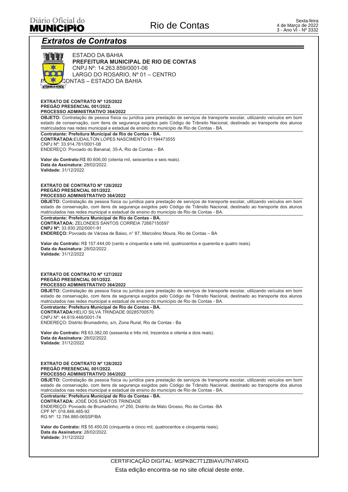## Diário Oficial do **MUNICIPIO**

# **Extratos de Contratos**



**ESTADO DA BAHIA** PREFEITURA MUNICIPAL DE RIO DE CONTAS CNPJ Nº: 14.263.859/0001-06 LARGO DO ROSARIO, Nº 01 - CENTRO ⊊ONTAS – ESTADO DA BAHIA

#### **EXTRATO DE CONTRATO Nº 125/2022** PREGÃO PRESENCIAL 001/2022. PROCESSO ADMINISTRATIVO 364/2022

OBJETO: Contratação de pessoa física ou jurídica para prestação de serviços de transporte escolar, utilizando veículos em bom estado de conservação, com itens de segurança exigidos pelo Código de Trânsito Nacional, destinado ao transporte dos alunos matriculados nas redes municipal e estadual de ensino do município de Rio de Contas - BA

Contratante: Prefeitura Municipal de Rio de Contas - BA. **CONTRATADA:**EUDAILTON LOPES NASCIMENTO 01194473555 CNPJ Nº: 33.914.761/0001-08

ENDEREÇO: Povoado do Bananal, 35-A, Rio de Contas - BA

Valor do Contrato:R\$ 80.606,00 (oitenta mil, seiscentos e seis reais). Data da Assinatura: 28/02/2022. Validade: 31/12/2022

#### EXTRATO DE CONTRATO Nº 126/2022 PREGÃO PRESENCIAL 001/2022. PROCESSO ADMINISTRATIVO 364/2022

OBJETO: Contratação de pessoa física ou jurídica para prestação de serviços de transporte escolar, utilizando veículos em bom estado de conservação, com itens de segurança exigidos pelo Código de Trânsito Nacional, destinado ao transporte dos alunos matriculados nas redes municipal e estadual de ensino do município de Rio de Contas - BA

Contratante: Prefeitura Municipal de Rio de Contas - BA. **CONTRATADA: ZELONDES SANTOS CORREIA 72667150597** CNPJ Nº: 33.930.202/0001-91 ENDEREÇO: Povoado de Várzea de Baixo, nº 87, Marcolino Moura, Rio de Contas - BA

Valor do Contrato: R\$ 157.444,00 (cento e cinquenta e sete mil, quatrocentos e quarenta e quatro reais). Data da Assinatura: 28/02/2022. Validade: 31/12/2022

#### EXTRATO DE CONTRATO Nº 127/2022 PREGÃO PRESENCIAL 001/2022 PROCESSO ADMINISTRATIVO 364/2022

OBJETO: Contratação de pessoa física ou jurídica para prestação de serviços de transporte escolar, utilizando veículos em bom estado de conservação, com itens de segurança exigidos pelo Código de Trânsito Nacional, destinado ao transporte dos alunos matriculados nas redes municipal e estadual de ensino do município de Rio de Contas - BA

Contratante: Prefeitura Municipal de Rio de Contas - BA. **CONTRATADA: HELIO SILVA TRINDADE 00285700570** CNPJ Nº: 44.619.446/0001-74 ENDEREÇO: Distrito Brumadinho, s/n, Zona Rural, Rio de Contas - Ba

Valor do Contrato: R\$ 63.382,00 (sessenta e três mil, trezentos e oitenta e dois reais). Data da Assinatura: 28/02/2022. Validade: 31/12/2022

#### EXTRATO DE CONTRATO Nº 128/2022 PREGÃO PRESENCIAL 001/2022. PROCESSO ADMINISTRATIVO 364/2022

OBJETO: Contratação de pessoa física ou jurídica para prestação de serviços de transporte escolar, utilizando veículos em bom estado de conservação, com itens de segurança exigidos pelo Código de Trânsito Nacional, destinado ao transporte dos alunos matriculados nas redes municipal e estadual de ensino do município de Rio de Contas - BA

Contratante: Prefeitura Municipal de Rio de Contas - BA. **CONTRATADA: JOSÉ DOS SANTOS TRINDADE** ENDEREÇO: Povoado de Brumadinho, nº 250, Distrito de Mato Grosso, Rio de Contas - BA CPF Nº 018 846 485-92 RG Nº: 12.784.880-06SSP/BA

Valor do Contrato: R\$ 55.450.00 (cinquenta e cinco mil, quatrocentos e cinquenta reais). Data da Assinatura: 28/02/2022 Validade: 31/12/2022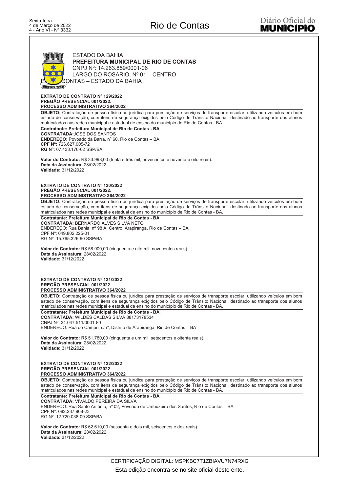### **ESTADO DA BAHIA** PREFEITURA MUNICIPAL DE RIO DE CONTAS CNPJ Nº: 14.263.859/0001-06 LARGO DO ROSARIO, Nº 01 - CENTRO CONTAS – ESTADO DA BAHIA US HONOR EXTRATO DE CONTRATO Nº 129/2022 PREGÃO PRESENCIAL 001/2022. PROCESSO ADMINISTRATIVO 364/2022 OBJETO: Contratação de pessoa física ou jurídica para prestação de serviços de transporte escolar, utilizando veículos em bom estado de conservação, com itens de segurança exigidos pelo Código de Trânsito Nacional, destinado ao transporte dos alunos matriculados nas redes municipal e estadual de ensino do município de Rio de Contas - BA. Contratante: Prefeitura Municipal de Rio de Contas - BA. **CONTRATADA: JOSÉ DOS SANTOS ENDERECO:** Povoado da Barra, nº 60, Rio de Contas - BA CPF Nº: 726.627.005-72 RG Nº: 07.433.176-02 SSP/BA Valor do Contrato: R\$ 33.998,00 (trinta e três mil, novecentos e noventa e oito reais). Data da Assinatura: 28/02/2022. Validade: 31/12/2022 EXTRATO DE CONTRATO Nº 130/2022 PREGÃO PRESENCIAL 001/2022. PROCESSO ADMINISTRATIVO 364/2022 OBJETO: Contratação de pessoa física ou jurídica para prestação de serviços de transporte escolar, utilizando veículos em bom estado de conservação, com itens de segurança exigidos pelo Código de Trânsito Nacional, destinado ao transporte dos alunos matriculados nas redes municipal e estadual de ensino do município de Rio de Contas - BA Contratante: Prefeitura Municipal de Rio de Contas - BA. **CONTRATADA: BERNARDO ALVES SILVA NETO** ENDEREÇO: Rua Bahia, nº 98 A, Centro, Arapiranga, Rio de Contas - BA CPF Nº: 049.802.225-01 RG Nº: 15.765.326-90 SSP/BA Valor do Contrato: R\$ 58.900,00 (cinquenta e oito mil, novecentos reais). Data da Assinatura: 28/02/2022. Validade: 31/12/2022 **FXTRATO DE CONTRATO Nº 131/2022** PREGÃO PRESENCIAL 001/2022. PROCESSO ADMINISTRATIVO 364/2022 OBJETO: Contratação de pessoa física ou jurídica para prestação de serviços de transporte escolar, utilizando veículos em bom estado de conservação, com itens de segurança exigidos pelo Código de Trânsito Nacional, destinado ao transporte dos alunos matriculados nas redes municipal e estadual de ensino do município de Rio de Contas - BA. Contratante: Prefeitura Municipal de Rio de Contas - BA. **CONTRATADA: WILDES CALDAS SILVA 88173178534** CNPJ Nº: 34.047.511/0001-80 ENDEREÇO: Rua do Campo, s/nº, Distrito de Arapiranga, Rio de Contas - BA Valor do Contrato: R\$ 51.780,00 (cinquenta e um mil, setecentos e oitenta reais). Data da Assinatura: 28/02/2022. Validade: 31/12/2022 EXTRATO DE CONTRATO Nº 132/2022 PREGÃO PRESENCIAL 001/2022. PROCESSO ADMINISTRATIVO 364/2022 OBJETO: Contratação de pessoa física ou jurídica para prestação de serviços de transporte escolar, utilizando veículos em bom estado de conservação, com itens de segurança exigidos pelo Código de Trânsito Nacional, destinado ao transporte dos alunos matriculados nas redes municipal e estadual de ensino do município de Rio de Contas - BA Contratante: Prefeitura Municipal de Rio de Contas - BA. **CONTRATADA: VIVALDO PEREIRA DA SILVA** ENDEREÇO: Rua Santo Antônio, nº 02, Povoado de Umbuzeiro dos Santos, Rio de Contas - BA CPF Nº 082 237 908-23 RG Nº: 12.720.038-09 SSP/BA Valor do Contrato: R\$ 62.610.00 (sessenta e dois mil. seiscentos e dez reais). Data da Assinatura: 28/02/2022 Validade: 31/12/2022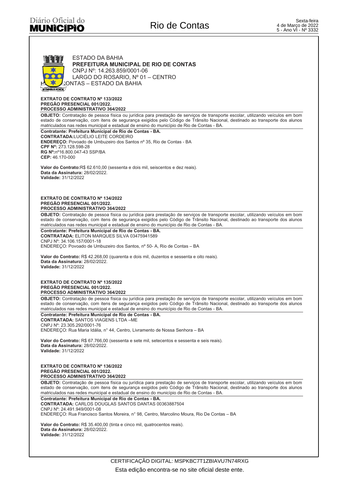

#### **EXTRATO DE CONTRATO Nº 133/2022** PREGÃO PRESENCIAL 001/2022. PROCESSO ADMINISTRATIVO 364/2022

OBJETO: Contratação de pessoa física ou jurídica para prestação de serviços de transporte escolar, utilizando veículos em bom estado de conservação, com itens de segurança exigidos pelo Código de Trânsito Nacional, destina matriculados nas redes municipal e estadual de ensino do município de Rio de Contas - BA

#### Contratante: Prefeitura Municipal de Rio de Contas - BA. **CONTRATADA:LUCIÉLIO LEITE CORDEIRO** ENDEREÇO: Povoado de Umbuzeiro dos Santos nº 35, Rio de Contas - BA CPF Nº: 273.128.598-28 RG Nº:nº16.800.047-43 SSP/BA CEP: 46.170-000

Valor do Contrato:R\$ 62.610,00 (sessenta e dois mil, seiscentos e dez reais). Data da Assinatura: 28/02/2022. Validade: 31/12/2022

#### **EXTRATO DE CONTRATO Nº 134/2022** PREGÃO PRESENCIAL 001/2022. PROCESSO ADMINISTRATIVO 364/2022

OBJETO: Contratação de pessoa física ou jurídica para prestação de serviços de transporte escolar, utilizando veículos em bom estado de conservação, com itens de segurança exigidos pelo Código de Trânsito Nacional, destinado ao transporte dos alunos matriculados nas redes municipal e estadual de ensino do município de Rio de Contas - BA

Contratante: Prefeitura Municipal de Rio de Contas - BA. **CONTRATADA: ELITON MARQUES SILVA 03475941589** CNPJ Nº: 34.106.157/0001-18 ENDEREÇO: Povoado de Umbuzeiro dos Santos, nº 50- A, Rio de Contas - BA

Valor do Contrato: R\$ 42.268.00 (quarenta e dois mil. duzentos e sessenta e oito reais). Data da Assinatura: 28/02/2022. Validade: 31/12/2022

#### **EXTRATO DE CONTRATO Nº 135/2022** PREGÃO PRESENCIAL 001/2022. PROCESSO ADMINISTRATIVO 364/2022

OBJETO: Contratação de pessoa física ou jurídica para prestação de serviços de transporte escolar, utilizando veículos em bom estado de conservação, com itens de segurança exigidos pelo Código de Trânsito Nacional, destinado ao transporte dos alunos matriculados nas redes municipal e estadual de ensino do município de Rio de Contas - BA

Contratante: Prefeitura Municipal de Rio de Contas - BA. **CONTRATADA: SANTOS VIAGENS LTDA -ME** CNPJ Nº: 23.305.292/0001-76 ENDERECO: Rua Maria Idália, nº 44, Centro, Livramento de Nossa Senhora - BA

Valor do Contrato: R\$ 67.766,00 (sessenta e sete mil, setecentos e sessenta e seis reais). Data da Assinatura: 28/02/2022. Validade: 31/12/2022

#### **EXTRATO DE CONTRATO Nº 136/2022** PREGÃO PRESENCIAL 001/2022 PROCESSO ADMINISTRATIVO 364/2022

OBJETO: Contratação de pessoa física ou jurídica para prestação de serviços de transporte escolar, utilizando veículos em bom estado de conservação, com itens de segurança exigidos pelo Código de Trânsito Nacional, destinado ao transporte dos alunos matriculados nas redes municipal e estadual de ensino do município de Rio de Contas - BA

Contratante: Prefeitura Municipal de Rio de Contas - BA. CONTRATADA: CARLOS DOUGLAS SANTOS DANTAS 00363887504 CNPJ N°: 24.491.949/0001-08 ENDEREÇO: Rua Francisco Santos Moreira, nº 98, Centro, Marcolino Moura, Rio De Contas - BA

Valor do Contrato: R\$ 35.400,00 (tinta e cinco mil, quatrocentos reais). Data da Assinatura: 28/02/2022. Validade: 31/12/2022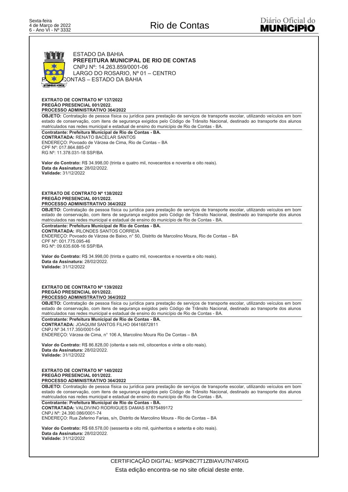

#### **EXTRATO DE CONTRATO Nº 137/2022** PREGÃO PRESENCIAL 001/2022. PROCESSO ADMINISTRATIVO 364/2022

OBJETO: Contratação de pessoa física ou jurídica para prestação de serviços de transporte escolar, utilizando veículos em bom estado de conservação, com itens de segurança exigidos pelo Código de Trânsito Nacional, destinado ao transporte dos alunos matriculados nas redes municipal e estadual de ensino do município de Rio de Contas - BA.

Contratante: Prefeitura Municipal de Rio de Contas - BA. **CONTRATADA: RENATO BACELAR SANTOS** ENDEREÇO: Povoado de Várzea de Cima, Rio de Contas - BA CPF Nº: 017.864.885-07 RG Nº: 11.378.031-18 SSP/BA

Valor do Contrato: R\$ 34,998,00 (trinta e quatro mil, novecentos e noventa e oito reais). Data da Assinatura: 28/02/2022. Validade: 31/12/2022

EXTRATO DE CONTRATO Nº 138/2022 PREGÃO PRESENCIAL 001/2022. PROCESSO ADMINISTRATIVO 364/2022

OBJETO: Contratação de pessoa física ou jurídica para prestação de serviços de transporte escolar, utilizando veículos em bom estado de conservação, com itens de segurança exigidos pelo Código de Trânsito Nacional, destinado ao transporte dos alunos matriculados nas redes municipal e estadual de ensino do município de Rio de Contas - BA

Contratante: Prefeitura Municipal de Rio de Contas - BA. **CONTRATADA: IRLONDES SANTOS CORREIA** ENDEREÇO: Povoado de Várzea de Baixo, nº 50, Distrito de Marcolino Moura, Rio de Contas - BA CPF Nº: 001.775.095-46 RG Nº: 09.635.608-16 SSP/BA

Valor do Contrato: R\$ 34.998,00 (trinta e quatro mil, novecentos e noventa e oito reais). Data da Assinatura: 28/02/2022. Validade: 31/12/2022

**EXTRATO DE CONTRATO Nº 139/2022** PREGÃO PRESENCIAL 001/2022. PROCESSO ADMINISTRATIVO 364/2022

OBJETO: Contratação de pessoa física ou jurídica para prestação de serviços de transporte escolar, utilizando veículos em bom estado de conservação, com itens de segurança exigidos pelo Código de Trânsito Nacional, destinado ao transporte dos alunos matriculados nas redes municipal e estadual de ensino do município de Rio de Contas - BA.

Contratante: Prefeitura Municipal de Rio de Contas - BA. **CONTRATADA: JOAQUIM SANTOS FILHO 06416872811** CNPJ Nº 34.117.350/0001-54 ENDERECO: Várzea de Cima, nº 106 A, Marcolino Moura Rio De Contas - BA

Valor do Contrato: R\$ 86.828,00 (oitenta e seis mil, oitocentos e vinte e oito reais). Data da Assinatura: 28/02/2022 Validade: 31/12/2022

#### **EXTRATO DE CONTRATO Nº 140/2022** PREGÃO PRESENCIAL 001/2022. PROCESSO ADMINISTRATIVO 364/2022

OBJETO: Contratação de pessoa física ou jurídica para prestação de serviços de transporte escolar, utilizando veículos em bom estado de conservação, com itens de segurança exigidos pelo Código de Trânsito Nacional, destinado ao transporte dos alunos matriculados nas redes municipal e estadual de ensino do município de Rio de Contas - BA

Contratante: Prefeitura Municipal de Rio de Contas - BA. **CONTRATADA: VALDIVINO RODRIGUES DAMAS 87875489172** CNPJ Nº: 24.390.086/0001-74 ENDEREÇO: Rua Zeferino Farias, s/n, Distrito de Marcolino Moura - Rio de Contas - BA

Valor do Contrato: R\$ 68.578.00 (sessenta e oito mil. quinhentos e setenta e oito reais). Data da Assinatura: 28/02/2022 Validade: 31/12/2022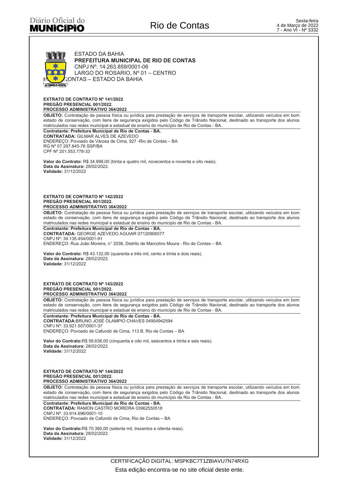

**EXTRATO DE CONTRATO Nº 141/2022** PREGÃO PRESENCIAL 001/2022. PROCESSO ADMINISTRATIVO 364/2022

OBJETO: Contratação de pessoa física ou jurídica para prestação de serviços de transporte escolar, utilizando veículos em bom estado de conservação, com itens de segurança exigidos pelo Código de Trânsito Nacional, destinado ao transporte dos alunos matriculados nas redes municipal e estadual de ensino do município de Rio de Contas - BA

Contratante: Prefeitura Municipal de Rio de Contas - BA. **CONTRATADA: GILMAR ALVES DE AZEVEDO** ENDERECO: Povoado de Várzea de Cima, 927 - Rio de Contas - BA RG Nº 07.297.845-76 SSP/BA CPF Nº 201.553.778-33

Valor do Contrato: R\$ 34.998,00 (trinta e quatro mil, novecentos e noventa e oito reais). Data da Assinatura: 28/02/2022. Validade: 31/12/2022

#### **EXTRATO DE CONTRATO Nº 142/2022** PREGÃO PRESENCIAL 001/2022. PROCESSO ADMINISTRATIVO 364/2022

OBJETO: Contratação de pessoa física ou jurídica para prestação de serviços de transporte escolar, utilizando veículos em bom estado de conservação, com itens de segurança exigidos pelo Código de Trânsito Nacional, destinado ao transporte dos alunos matriculados nas redes municipal e estadual de ensino do município de Rio de Contas - BA.

Contratante: Prefeitura Municipal de Rio de Contas - BA. CONTRATADA: GEORGE AZEVEDO AGUIAR 07120906577 CNPJ Nº: 34.135.454/0001-91 ENDEREÇO: Rua João Moreira, nº 2036, Distrito de Marcolino Moura - Rio de Contas - BA

Valor do Contrato: R\$ 43.132,00 (quarenta e três mil, cento e trinta e dois reais). Data da Assinatura: 28/02/2022. Validade: 31/12/2022

EXTRATO DE CONTRATO Nº 143/2022 PREGÃO PRESENCIAL 001/2022. PROCESSO ADMINISTRATIVO 364/2022

OBJETO: Contratação de pessoa física ou jurídica para prestação de serviços de transporte escolar, utilizando veículos em bom estado de conservação, com itens de segurança exigidos pelo Código de Trânsito Nacional, destinado ao transporte dos alunos matriculados nas redes municipal e estadual de ensino do município de Rio de Contas - BA.

Contratante: Prefeitura Municipal de Rio de Contas - BA CONTRATADA: BRUNO JOSÉ OLAMPIO CHAVES 04954942594 CNPJ Nº: 33.921.507/0001-37 ENDEREÇO: Povoado de Cafundó de Cima, 113 B, Rio de Contas - BA

Valor do Contrato:R\$ 58.636,00 (cinquenta e oito mil, seiscentos e trinta e seis reais). Data da Assinatura: 28/02/2022. Validade: 31/12/2022

#### **EXTRATO DE CONTRATO Nº 144/2022** PREGÃO PRESENCIAL 001/2022 PROCESSO ADMINISTRATIVO 364/2022

OBJETO: Contratação de pessoa física ou jurídica para prestação de serviços de transporte escolar, utilizando veículos em bom estado de conservação, com itens de segurança exigidos pelo Código de Trânsito Nacional, destina matriculados nas redes municipal e estadual de ensino do município de Rio de Contas - BA

Contratante: Prefeitura Municipal de Rio de Contas - BA. CONTRATADA: RAMON CASTRO MOREIRA 03962550518 CNPJ Nº: 33.914.696/0001-10 ENDEREÇO: Povoado de Cafundó de Cima, Rio de Contas - BA

Valor do Contrato:R\$ 70.380,00 (setenta mil, trezentos e oitenta reais). Data da Assinatura: 28/02/2022 Validade: 31/12/2022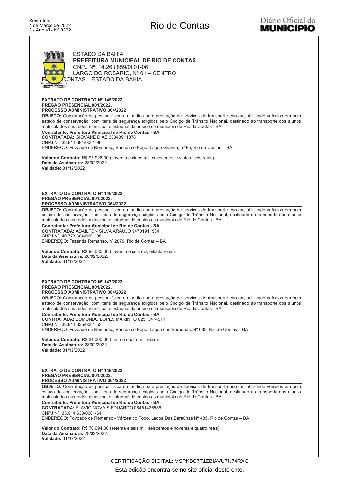

**EXTRATO DE CONTRATO Nº 145/2022** PREGÃO PRESENCIAL 001/2022. PROCESSO ADMINISTRATIVO 364/2022

OBJETO: Contratação de pessoa física ou jurídica para prestação de serviços de transporte escolar, utilizando veículos em bom estado de conservação, com itens de segurança exigidos pelo Código de Trânsito Nacional, destinado ao transporte dos alunos matriculados nas redes municipal e estadual de ensino do município de Rio de Contas - BA.

Contratante: Prefeitura Municipal de Rio de Contas - BA. **CONTRATADA: GIOVANE DIAS 33843911878** CNPJ Nº: 33.914.684/0001-96

ENDEREÇO: Povoado de Remanso, Várzea do Fogo, Lagoa Grande, nº 85, Rio de Contas - BA

Valor do Contrato: R\$ 95.926,00 (noventa e cinco mil, novecentos e vinte e seis reais). Data da Assinatura: 28/02/2022. Validade: 31/12/2022

#### **EXTRATO DE CONTRATO Nº 146/2022** PREGÃO PRESENCIAL 001/2022. PROCESSO ADMINISTRATIVO 364/2022

OBJETO: Contratação de pessoa física ou jurídica para prestação de serviços de transporte escolar, utilizando veículos em bom estado de conservação, com itens de segurança exigidos pelo Código de Trânsito Nacional, destinado ao transporte dos alunos matriculados nas redes municipal e estadual de ensino do município de Rio de Contas - BA

Contratante: Prefeitura Municipal de Rio de Contas - BA. CONTRATADA: ADAILTON SILVA ARAUJO 94701911534 CNP.J Nº: 40 773 604/0001-95 ENDEREÇO: Fazenda Remanso, nº 2879, Rio de Contas - BA

Valor do Contrato: R\$ 96.080,00 (noventa e seis mil, oitenta reais). Data da Assinatura: 28/02/2022. Validade: 31/12/2022

EXTRATO DE CONTRATO Nº 147/2022 PREGÃO PRESENCIAL 001/2022. PROCESSO ADMINISTRATIVO 364/2022

OBJETO: Contratação de pessoa física ou jurídica para prestação de serviços de transporte escolar, utilizando veículos em bom estado de conservação, com itens de segurança exigidos pelo Código de Trânsito Nacional, destinado ao transporte dos alunos matriculados nas redes municipal e estadual de ensino do município de Rio de Contas - BA.

Contratante: Prefeitura Municipal de Rio de Contas - BA. CONTRATADA: EDMUNDO LOPES MARINHO 02513474511 CNPJ Nº: 33.914.635/0001-53 ENDEREÇO: Povoado de Remanso, Várzea do Fogo, Lagoa das Baraúnas, Nº 683, Rio de Contas - BA

Valor do Contrato: R\$ 34.000,00 (trinta e quatro mil reais). Data da Assinatura: 28/02/2022 Validade: 31/12/2022

#### **EXTRATO DE CONTRATO Nº 148/2022** PREGÃO PRESENCIAL 001/2022. PROCESSO ADMINISTRATIVO 364/2022

OBJETO: Contratação de pessoa física ou jurídica para prestação de serviços de transporte escolar, utilizando veículos em bom estado de conservação, com itens de segurança exigidos pelo Código de Trânsito Nacional, destinado ao transporte dos alunos matriculados nas redes municipal e estadual de ensino do município de Rio de Contas - BA.

Contratante: Prefeitura Municipal de Rio de Contas - BA. **CONTRATADA: FLAVIO NOVAIS EDUARDO 05451438536** CNPJ Nº: 33.914.633/0001-64 ENDEREÇO: Povoado de Remanso - Várzea do Fogo, Lagoa Das Baraúnas Nº 435, Rio de Contas - BA

Valor do Contrato: R\$ 76.694.00 (setenta e seis mil. seiscentos e noventa e quatro reais). Data da Assinatura: 28/02/2022 Validade: 31/12/2022